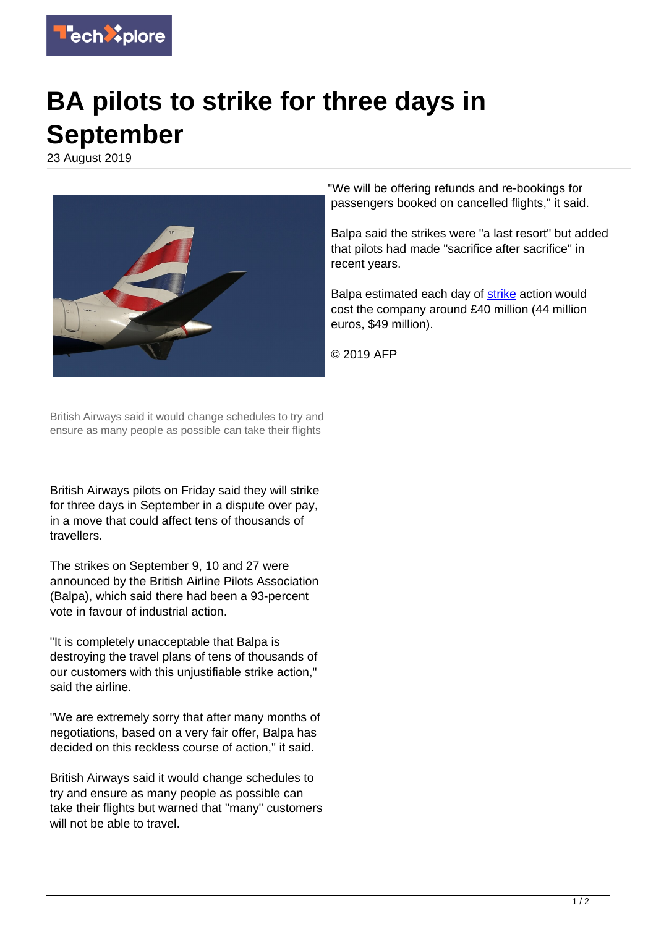

## **BA pilots to strike for three days in September**

23 August 2019



"We will be offering refunds and re-bookings for passengers booked on cancelled flights," it said.

Balpa said the strikes were "a last resort" but added that pilots had made "sacrifice after sacrifice" in recent years.

Balpa estimated each day of [strike](https://techxplore.com/tags/strike/) action would cost the company around £40 million (44 million euros, \$49 million).

© 2019 AFP

British Airways said it would change schedules to try and ensure as many people as possible can take their flights

British Airways pilots on Friday said they will strike for three days in September in a dispute over pay, in a move that could affect tens of thousands of travellers.

The strikes on September 9, 10 and 27 were announced by the British Airline Pilots Association (Balpa), which said there had been a 93-percent vote in favour of industrial action.

"It is completely unacceptable that Balpa is destroying the travel plans of tens of thousands of our customers with this unjustifiable strike action," said the airline.

"We are extremely sorry that after many months of negotiations, based on a very fair offer, Balpa has decided on this reckless course of action," it said.

British Airways said it would change schedules to try and ensure as many people as possible can take their flights but warned that "many" customers will not be able to travel.